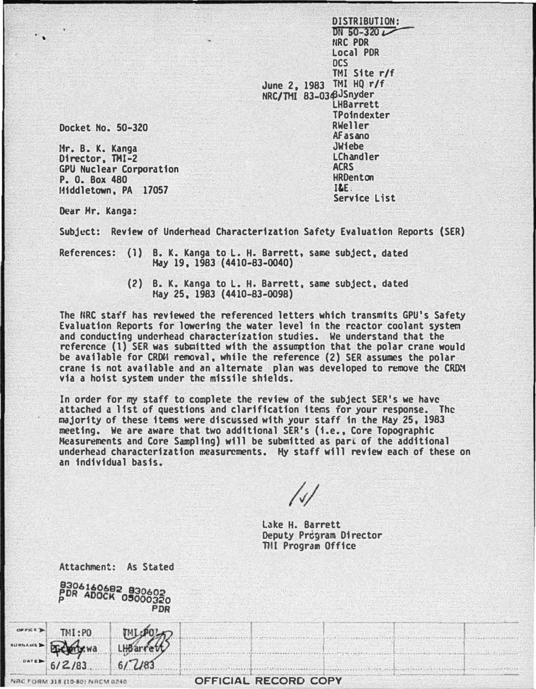DISTRIBUTION: DN 50-320 $\nu$ r�Rc PDR Local POR ocs TMI Site r/f June 2, 1983 TMI HQ r/f NRC/THI 83-03¢JSnyder LHBarrett TPoindexter RWeller AFasano **JWiebe** LChandler **ACRS HRDenton** I&E. Service List

Docket Ho. 50-320

•

l1r. B. K. Kanga Director, TMI-2 GPU Nuclear Corporation P. 0. Box 480 11fddletown, PA 17057

Attachment: As Stated

Dear Hr. Kanga:

Subject: Review of Underhead Characterization Safety Evaluation Reports (SER)

References: (1) B. K. Kanga to L. H. Barrett, same subject, dated Hay 19, 1983 {4410-83-0040)

> {2) B. K. Kanga to L. H. Barrett, same subject, dated tlay 25, 1983 {4410-83-0098)

The fiRC staff has reviewed the referenced letters which transmits GPU's Safety Evaluation Reports for lowering the water level in the reactor coolant system and conducting undcrhead characterization studies. We understand that the reference (1) SER was submitted with the assumption that the polar crane would be available for CRDM removal, while the reference (2) SER assumes the polar crane is not available and an alternate plan was developed to remove the C�� via a hoist system under the missile shields.

In order for mY staff to complete the review of the subject SER's we have attached a lfst of questions and clarification items for your response. The majority of these items were disc�ssed with your staff in the May 25, 1983 meeting. We are aware that two additional SER's {i.e., Core Topographic •�asuremcnts and Core Sampling) will be submitted as par� of the additional underhead characterization measurements. My staff will review each of these on an individual basis.

Lake H. Barrett Deputy Prcgram Director THI Program Office

|               |                                | 8306160682 830602<br>PDR ADOCK 05000320 |                      |
|---------------|--------------------------------|-----------------------------------------|----------------------|
| <b>URNAME</b> | TMI:PO<br>क्टि                 |                                         |                      |
|               | $0A1B$ 6/2/83                  | 6/183                                   |                      |
|               | VRC FORM 318 (10-80) NRCM 0240 |                                         | OFFICIAL RECORD COPY |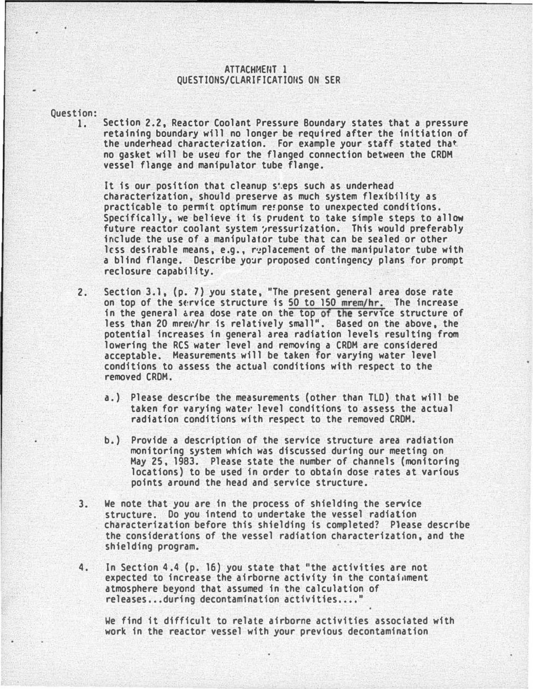## ATTACHMENT 1 QUESTIONS/CLARIFICATIONS ON SER

Question:

1. Section 2.2, Reactor Coolant Pressure Boundary states that a pressure retaining boundary will no longer be required after the initiation of the underhead characterization. For example your staff stated that no gasket will be used for the flanged connection between the CROH vessel flange and manipulator tube flange.

It is our position that cleanup sieps such as underhead characterization, should preserve as much system flexibility as practicable to permit optimum re!ponse to unexpected conditions. Specifically, we believe it is prudent to take simple steps to allow future reactor coolant system oressurization. This would preferably include the use of a manipulator tube that can be sealed or other less desirable means, e.g., r�placement of the manipulator tube with a blind flange. Describe yo�r proposed contingency plans for prompt reclosure capability.

- 2. Section 3.1, (p. 7) you state, "The present general area dose rate on top of the service structure is 50 to 150 mrem/hr. The increase in the general area dose rate on the top of the service structure of less than 20 mrew/hr is relatively small". Based on the above, the potential increases in general area radiation levels resulting from lowering the RCS water level and removing a CRDM are considered acceptable. Measurements will be taken for varying water level conditions to assess the actual conditions with respect to the removed CRDM.
	- a.) Please describe the measurements (other than TLD) that will be taken for varying water level conditions to assess the actual radiation conditions with respect to the removed CRDM.
	- b.) Provide a description of the service structure area radiation monitoring system which was discussed during our meeting on May 25, 1983. Please state the number of channels (monitoring locations) to be used in order to obtain dose rates at various points around the head and service structure.
- 3. We note that you are in the process of shielding the service structure. Do you intend to undertake the vessel radiation characterization before this shielding is completed? Please describe the considerations of the vessel radiation characterization, and the shielding program.
- 4. In Section 4.4 (p. 16) you state that "the activities are not expected to increase the airborne activity in the containment atmosphere beyond that assumed in the calculation of releases...during decontamination activities....

We find it difficult to relate airborne activities associated with work in the reactor vessel with your previous decontamination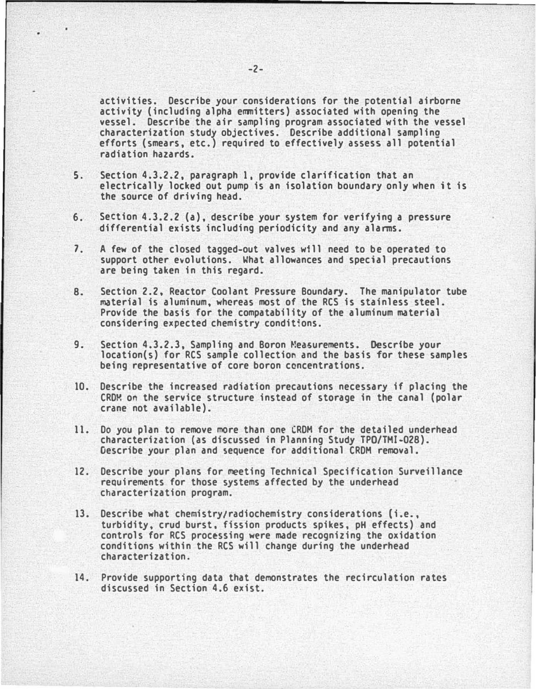activities. Describe your considerations for the cotential airborne activity (including alpha emmitters) associated with opening the vessel. Describe the air sampling program associated with the vessel characterization study objectives. Describe additional sampling efforts (smears, etc.) required to effectively assess all potential radiation hazards.

- 5. Section 4.3.2.2, paragraph 1, provide clarification that an electrically locked out pump is an isolation boundary only when it is the source of driving head.
- 6. Section 4.3.2.2 (a), describe your system for verifying a pressure differential exists including periodicity and any alarms.
- 7. A few of the closed tagged-out valves will need to be operated to support other evolutions. What allowances and special precautions are being taken in this regard.
- 8. Section 2.2, Reactor Coolant Pressure Boundary. The manipulator tube material is aluminum, whereas most of the RCS is stainless steel. Provide the basis for the compatability of the aluminum material considering expected chemistry conditions.
- 9. Section 4.3.2.3, Sampling and Boron Measurements. Describe your location(s) for RCS sample collection and the basis for these samples being representative of core boron concentrations.
- 10. Describe the increased radiation precautions necessary if placing the CROM on the service structure instead of storage in the canal (polar crane not available).
- 11. Do you plan to remove more than one CRDM for the detailed underhead characterization (as discussed in Planning Study TPO/THI-028). Describe your plan and sequence for additional CROH removal.
- 12. Describe your plans for meeting Technical Specification Surveillance requirements for those systems affected by the underhead characterization program.
- 13. Describe what chemistry/radiochemistry considerations {i.e., turbidity, crud burst, fission products spikes, pH effects) and controls for RCS processing were made recognizing the oxidation conditions within the RCS will change during the underhead characterization.
- 14. Provide supporting data that demonstrates the recirculation rates discussed in Section 4.6 exist.